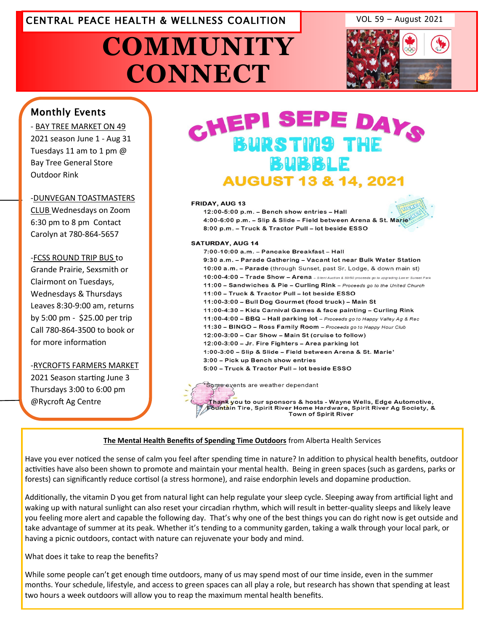### CENTRAL PEACE HEALTH & WELLNESS COALITION VOL 59 – August 2021

**COMMUNITY CONNECT**



#### Monthly Events

- BAY TREE MARKET ON 49 2021 season June 1 - Aug 31 Tuesdays 11 am to 1 pm @ Bay Tree General Store Outdoor Rink

#### -DUNVEGAN TOASTMASTERS

CLUB Wednesdays on Zoom 6:30 pm to 8 pm Contact Carolyn at 780-864-5657

#### -FCSS ROUND TRIP BUS to

Grande Prairie, Sexsmith or Clairmont on Tuesdays, Wednesdays & Thursdays Leaves 8:30-9:00 am, returns by 5:00 pm - \$25.00 per trip Call 780-864-3500 to book or for more information

#### -[RYCROFTS FARMERS MARKET](http://www.eaglesham.biz/)

2021 Season starting June 3 Thursdays 3:00 to 6:00 pm @Rycroft Ag Centre

## CHEPI SEPE DAYS **BURSTING THE BUBBLE AUGUST 13 & 14, 2021**

#### **FRIDAY, AUG 13**



12:00-5:00 p.m. - Bench show entries - Hall 4:00-6:00 p.m. - Slip & Slide - Field between Arena & St. Marie' 8:00 p.m. - Truck & Tractor Pull - lot beside ESSO

#### **SATURDAY, AUG 14**

7:00-10:00 a.m. - Pancake Breakfast - Hall 9:30 a.m. - Parade Gathering - Vacant lot near Bulk Water Station 10:00 a.m. - Parade (through Sunset, past Sr. Lodge, & down main st) 10:00-4:00 - Trade Show - Arena - Silent Auction & 50/50 proceeds go to upgrading Lower Sur 11:00 - Sandwiches & Pie - Curling Rink - Proceeds go to the United Church 11:00 - Truck & Tractor Pull - lot beside ESSO 11:00-3:00 - Bull Dog Gourmet (food truck) - Main St 11:00-4:30 - Kids Carnival Games & face painting - Curling Rink 11:00-4:00 - BBQ - Hall parking lot - Proceeds go to Happy Valley Ag & Rec 11:30 - BINGO - Ross Family Room - Proceeds go to Happy Hour Club 12:00-3:00 - Car Show - Main St (cruise to follow) 12:00-3:00 - Jr. Fire Fighters - Area parking lot 1:00-3:00 - Slip & Slide - Field between Arena & St. Marie' 3:00 - Pick up Bench show entries 5:00 - Truck & Tractor Pull - lot beside ESSO

**Town of Spirit River** 

Some events are weather dependant Thank you to our sponsors & hosts - Wayne Wells, Edge Automotive, Fountain Tire, Spirit River Home Hardware, Spirit River Ag Society, &

#### **The Mental Health Benefits of Spending Time Outdoors** from Alberta Health Services

Have you ever noticed the sense of calm you feel after spending time in nature? In addition to physical health benefits, outdoor activities have also been shown to promote and maintain your mental health. Being in green spaces (such as gardens, parks or forests) can significantly reduce cortisol (a stress hormone), and raise endorphin levels and dopamine production.

Additionally, the vitamin D you get from natural light can help regulate your sleep cycle. Sleeping away from artificial light and waking up with natural sunlight can also reset your circadian rhythm, which will result in better-quality sleeps and likely leave you feeling more alert and capable the following day. That's why one of the best things you can do right now is get outside and take advantage of summer at its peak. Whether it's tending to a community garden, taking a walk through your local park, or having a picnic outdoors, contact with nature can rejuvenate your body and mind.

What does it take to reap the benefits?

While some people can't get enough time outdoors, many of us may spend most of our time inside, even in the summer months. Your schedule, lifestyle, and access to green spaces can all play a role, but research has shown that spending at least two hours a week outdoors will allow you to reap the maximum mental health benefits.